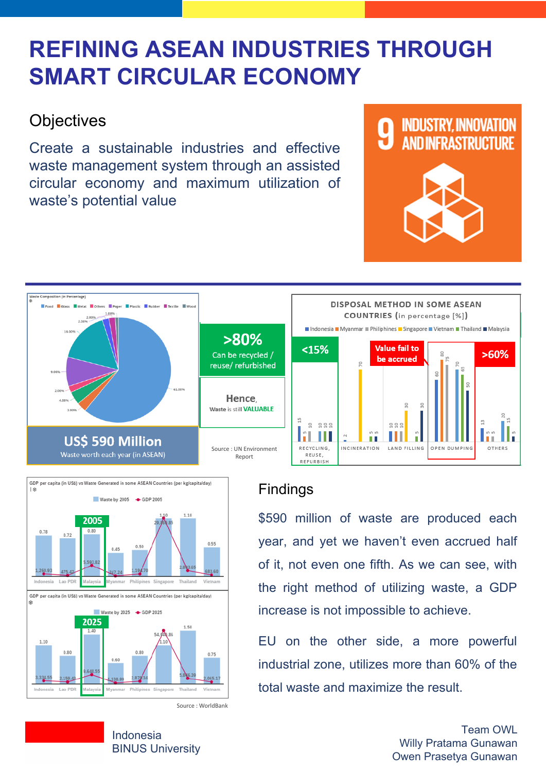# **REFINING ASEAN INDUSTRIES THROUGH SMART CIRCULAR ECONOMY**

## **Objectives**

Create a sustainable industries and effective waste management system through an assisted circular economy and maximum utilization of waste's potential value



## Findings

\$590 million of waste are produced each year, and yet we haven't even accrued half of it, not even one fifth. As we can see, with the right method of utilizing waste, a GDP increase is not impossible to achieve.

EU on the other side, a more powerful industrial zone, utilizes more than 60% of the total waste and maximize the result.

#### Indonesia BINUS University

Team OWL Willy Pratama Gunawan Owen Prasetya Gunawan





#### GDP per capita (in US\$) vs Waste Generated in some ASEAN Countries (per kg/capita/day) | 金 Waste by 2005 + GDP 2005 1.10 2005  $0.80$ 0.78 0.72 0.55 0.50  $0.45$ 5,593.82 260.93 Lao PDR Indonesia Malaysia Myanmar Philipines Vietnam Singapore Thailand GDP per capita (in US\$) vs Waste Generated in some ASEAN Countries (per kg/capitalday) ŵ Waste by 2025 + GDP 2025 2025 1.50  $1.40$ 54.940.86 1.10  $0.80$  $0.80$ 0.75 0.60 0.648.55 Indonesia Lao PDR Malaysia Myanmar Philipines Singapore Thailand Vietnam

#### Source : WorldBank